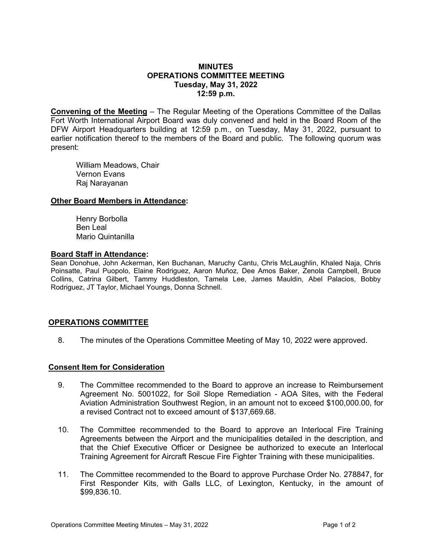## **MINUTES OPERATIONS COMMITTEE MEETING Tuesday, May 31, 2022 12:59 p.m.**

**Convening of the Meeting** – The Regular Meeting of the Operations Committee of the Dallas Fort Worth International Airport Board was duly convened and held in the Board Room of the DFW Airport Headquarters building at 12:59 p.m., on Tuesday, May 31, 2022, pursuant to earlier notification thereof to the members of the Board and public. The following quorum was present:

William Meadows, Chair Vernon Evans Raj Narayanan

### **Other Board Members in Attendance:**

Henry Borbolla Ben Leal Mario Quintanilla

### **Board Staff in Attendance:**

Sean Donohue, John Ackerman, Ken Buchanan, Maruchy Cantu, Chris McLaughlin, Khaled Naja, Chris Poinsatte, Paul Puopolo, Elaine Rodriguez, Aaron Muñoz, Dee Amos Baker, Zenola Campbell, Bruce Collins, Catrina Gilbert, Tammy Huddleston, Tamela Lee, James Mauldin, Abel Palacios, Bobby Rodriguez, JT Taylor, Michael Youngs, Donna Schnell.

# **OPERATIONS COMMITTEE**

8. The minutes of the Operations Committee Meeting of May 10, 2022 were approved.

### **Consent Item for Consideration**

- 9. The Committee recommended to the Board to approve an increase to Reimbursement Agreement No. 5001022, for Soil Slope Remediation - AOA Sites, with the Federal Aviation Administration Southwest Region, in an amount not to exceed \$100,000.00, for a revised Contract not to exceed amount of \$137,669.68.
- 10. The Committee recommended to the Board to approve an Interlocal Fire Training Agreements between the Airport and the municipalities detailed in the description, and that the Chief Executive Officer or Designee be authorized to execute an Interlocal Training Agreement for Aircraft Rescue Fire Fighter Training with these municipalities.
- 11. The Committee recommended to the Board to approve Purchase Order No. 278847, for First Responder Kits, with Galls LLC, of Lexington, Kentucky, in the amount of \$99,836.10.